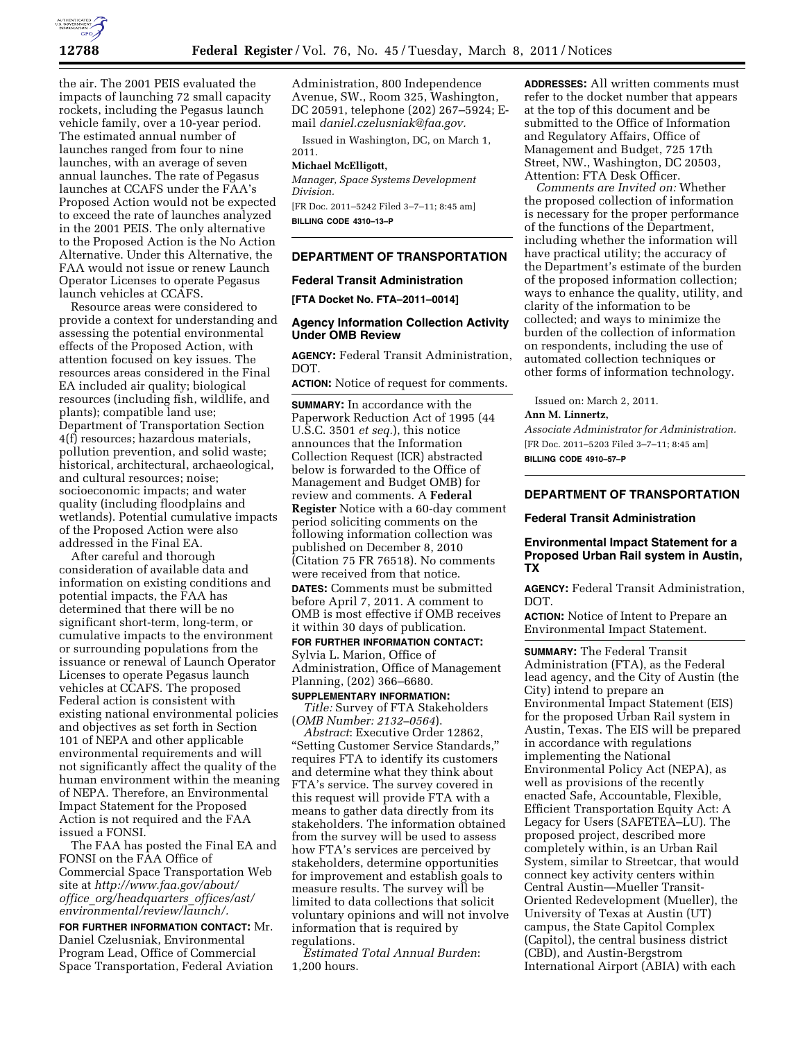

the air. The 2001 PEIS evaluated the impacts of launching 72 small capacity rockets, including the Pegasus launch vehicle family, over a 10-year period. The estimated annual number of launches ranged from four to nine launches, with an average of seven annual launches. The rate of Pegasus launches at CCAFS under the FAA's Proposed Action would not be expected to exceed the rate of launches analyzed in the 2001 PEIS. The only alternative to the Proposed Action is the No Action Alternative. Under this Alternative, the FAA would not issue or renew Launch Operator Licenses to operate Pegasus launch vehicles at CCAFS.

Resource areas were considered to provide a context for understanding and assessing the potential environmental effects of the Proposed Action, with attention focused on key issues. The resources areas considered in the Final EA included air quality; biological resources (including fish, wildlife, and plants); compatible land use; Department of Transportation Section 4(f) resources; hazardous materials, pollution prevention, and solid waste; historical, architectural, archaeological, and cultural resources; noise; socioeconomic impacts; and water quality (including floodplains and wetlands). Potential cumulative impacts of the Proposed Action were also addressed in the Final EA.

After careful and thorough consideration of available data and information on existing conditions and potential impacts, the FAA has determined that there will be no significant short-term, long-term, or cumulative impacts to the environment or surrounding populations from the issuance or renewal of Launch Operator Licenses to operate Pegasus launch vehicles at CCAFS. The proposed Federal action is consistent with existing national environmental policies and objectives as set forth in Section 101 of NEPA and other applicable environmental requirements and will not significantly affect the quality of the human environment within the meaning of NEPA. Therefore, an Environmental Impact Statement for the Proposed Action is not required and the FAA issued a FONSI.

The FAA has posted the Final EA and FONSI on the FAA Office of Commercial Space Transportation Web site at *[http://www.faa.gov/about/](http://www.faa.gov/about/office_org/headquarters_offices/ast/environmental/review/launch/)  office*\_*[org/headquarters](http://www.faa.gov/about/office_org/headquarters_offices/ast/environmental/review/launch/)*\_*offices/ast/ [environmental/review/launch/.](http://www.faa.gov/about/office_org/headquarters_offices/ast/environmental/review/launch/)* 

**FOR FURTHER INFORMATION CONTACT:** Mr. Daniel Czelusniak, Environmental Program Lead, Office of Commercial Space Transportation, Federal Aviation Administration, 800 Independence Avenue, SW., Room 325, Washington, DC 20591, telephone (202) 267–5924; Email *[daniel.czelusniak@faa.gov.](mailto:daniel.czelusniak@faa.gov)* 

Issued in Washington, DC, on March 1, 2011.

# **Michael McElligott,**

*Manager, Space Systems Development Division.* 

[FR Doc. 2011–5242 Filed 3–7–11; 8:45 am] **BILLING CODE 4310–13–P** 

### **DEPARTMENT OF TRANSPORTATION**

### **Federal Transit Administration**

**[FTA Docket No. FTA–2011–0014]** 

# **Agency Information Collection Activity Under OMB Review**

**AGENCY:** Federal Transit Administration, DOT.

**ACTION:** Notice of request for comments.

**SUMMARY:** In accordance with the Paperwork Reduction Act of 1995 (44 U.S.C. 3501 *et seq.*), this notice announces that the Information Collection Request (ICR) abstracted below is forwarded to the Office of Management and Budget OMB) for review and comments. A **Federal Register** Notice with a 60-day comment period soliciting comments on the following information collection was published on December 8, 2010 (Citation 75 FR 76518). No comments were received from that notice. **DATES:** Comments must be submitted before April 7, 2011. A comment to OMB is most effective if OMB receives it within 30 days of publication.

### **FOR FURTHER INFORMATION CONTACT:**  Sylvia L. Marion, Office of Administration, Office of Management Planning, (202) 366–6680.

### **SUPPLEMENTARY INFORMATION:**  *Title:* Survey of FTA Stakeholders

(*OMB Number: 2132–0564*).

*Abstract*: Executive Order 12862, ''Setting Customer Service Standards,'' requires FTA to identify its customers and determine what they think about FTA's service. The survey covered in this request will provide FTA with a means to gather data directly from its stakeholders. The information obtained from the survey will be used to assess how FTA's services are perceived by stakeholders, determine opportunities for improvement and establish goals to measure results. The survey will be limited to data collections that solicit voluntary opinions and will not involve information that is required by regulations.

*Estimated Total Annual Burden*: 1,200 hours.

**ADDRESSES:** All written comments must refer to the docket number that appears at the top of this document and be submitted to the Office of Information and Regulatory Affairs, Office of Management and Budget, 725 17th Street, NW., Washington, DC 20503, Attention: FTA Desk Officer.

*Comments are Invited on:* Whether the proposed collection of information is necessary for the proper performance of the functions of the Department, including whether the information will have practical utility; the accuracy of the Department's estimate of the burden of the proposed information collection; ways to enhance the quality, utility, and clarity of the information to be collected; and ways to minimize the burden of the collection of information on respondents, including the use of automated collection techniques or other forms of information technology.

Issued on: March 2, 2011. **Ann M. Linnertz,** 

*Associate Administrator for Administration.*  [FR Doc. 2011–5203 Filed 3–7–11; 8:45 am] **BILLING CODE 4910–57–P** 

### **DEPARTMENT OF TRANSPORTATION**

### **Federal Transit Administration**

# **Environmental Impact Statement for a Proposed Urban Rail system in Austin, TX**

**AGENCY:** Federal Transit Administration, DOT.

**ACTION:** Notice of Intent to Prepare an Environmental Impact Statement.

**SUMMARY:** The Federal Transit Administration (FTA), as the Federal lead agency, and the City of Austin (the City) intend to prepare an Environmental Impact Statement (EIS) for the proposed Urban Rail system in Austin, Texas. The EIS will be prepared in accordance with regulations implementing the National Environmental Policy Act (NEPA), as well as provisions of the recently enacted Safe, Accountable, Flexible, Efficient Transportation Equity Act: A Legacy for Users (SAFETEA–LU). The proposed project, described more completely within, is an Urban Rail System, similar to Streetcar, that would connect key activity centers within Central Austin—Mueller Transit-Oriented Redevelopment (Mueller), the University of Texas at Austin (UT) campus, the State Capitol Complex (Capitol), the central business district (CBD), and Austin-Bergstrom International Airport (ABIA) with each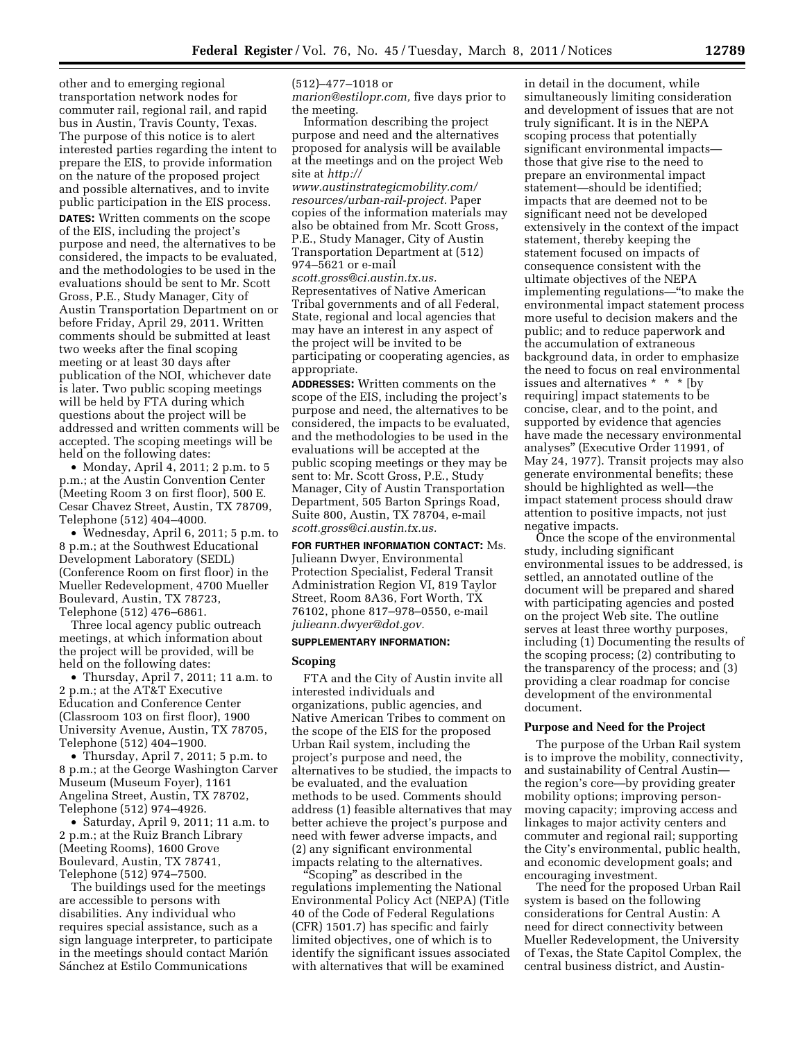other and to emerging regional transportation network nodes for commuter rail, regional rail, and rapid bus in Austin, Travis County, Texas. The purpose of this notice is to alert interested parties regarding the intent to prepare the EIS, to provide information on the nature of the proposed project and possible alternatives, and to invite public participation in the EIS process. **DATES:** Written comments on the scope of the EIS, including the project's purpose and need, the alternatives to be considered, the impacts to be evaluated, and the methodologies to be used in the evaluations should be sent to Mr. Scott Gross, P.E., Study Manager, City of Austin Transportation Department on or before Friday, April 29, 2011. Written comments should be submitted at least two weeks after the final scoping meeting or at least 30 days after publication of the NOI, whichever date is later. Two public scoping meetings will be held by FTA during which questions about the project will be addressed and written comments will be accepted. The scoping meetings will be held on the following dates:

• Monday, April 4, 2011; 2 p.m. to 5 p.m.; at the Austin Convention Center (Meeting Room 3 on first floor), 500 E. Cesar Chavez Street, Austin, TX 78709, Telephone (512) 404–4000.

• Wednesday, April 6, 2011; 5 p.m. to 8 p.m.; at the Southwest Educational Development Laboratory (SEDL) (Conference Room on first floor) in the Mueller Redevelopment, 4700 Mueller Boulevard, Austin, TX 78723, Telephone (512) 476–6861.

Three local agency public outreach meetings, at which information about the project will be provided, will be held on the following dates:

• Thursday, April 7, 2011; 11 a.m. to 2 p.m.; at the AT&T Executive Education and Conference Center (Classroom 103 on first floor), 1900 University Avenue, Austin, TX 78705, Telephone (512) 404–1900.

• Thursday, April 7, 2011; 5 p.m. to 8 p.m.; at the George Washington Carver Museum (Museum Foyer), 1161 Angelina Street, Austin, TX 78702, Telephone (512) 974–4926.

• Saturday, April 9, 2011; 11 a.m. to 2 p.m.; at the Ruiz Branch Library (Meeting Rooms), 1600 Grove Boulevard, Austin, TX 78741, Telephone (512) 974–7500.

The buildings used for the meetings are accessible to persons with disabilities. Any individual who requires special assistance, such as a sign language interpreter, to participate in the meetings should contact Marion Sánchez at Estilo Communications

(512)–477–1018 or

*[marion@estilopr.com,](mailto:marion@estilopr.com)* five days prior to the meeting.

Information describing the project purpose and need and the alternatives proposed for analysis will be available at the meetings and on the project Web site at *[http://](http://www.austinstrategicmobility.com/resources/urban-rail-project) [www.austinstrategicmobility.com/](http://www.austinstrategicmobility.com/resources/urban-rail-project)* 

*[resources/urban-rail-project.](http://www.austinstrategicmobility.com/resources/urban-rail-project)* Paper copies of the information materials may also be obtained from Mr. Scott Gross, P.E., Study Manager, City of Austin Transportation Department at (512) 974–5621 or e-mail

*[scott.gross@ci.austin.tx.us.](mailto:scott.gross@ci.austin.tx.us)*  Representatives of Native American

Tribal governments and of all Federal, State, regional and local agencies that may have an interest in any aspect of the project will be invited to be participating or cooperating agencies, as appropriate.

**ADDRESSES:** Written comments on the scope of the EIS, including the project's purpose and need, the alternatives to be considered, the impacts to be evaluated, and the methodologies to be used in the evaluations will be accepted at the public scoping meetings or they may be sent to: Mr. Scott Gross, P.E., Study Manager, City of Austin Transportation Department, 505 Barton Springs Road, Suite 800, Austin, TX 78704, e-mail *[scott.gross@ci.austin.tx.us.](mailto:scott.gross@ci.austin.tx.us)* 

**FOR FURTHER INFORMATION CONTACT:** Ms. Julieann Dwyer, Environmental Protection Specialist, Federal Transit Administration Region VI, 819 Taylor Street, Room 8A36, Fort Worth, TX 76102, phone 817–978–0550, e-mail *[julieann.dwyer@dot.gov.](mailto:julieann.dwyer@dot.gov)* 

# **SUPPLEMENTARY INFORMATION:**

#### **Scoping**

FTA and the City of Austin invite all interested individuals and organizations, public agencies, and Native American Tribes to comment on the scope of the EIS for the proposed Urban Rail system, including the project's purpose and need, the alternatives to be studied, the impacts to be evaluated, and the evaluation methods to be used. Comments should address (1) feasible alternatives that may better achieve the project's purpose and need with fewer adverse impacts, and (2) any significant environmental impacts relating to the alternatives.

''Scoping'' as described in the regulations implementing the National Environmental Policy Act (NEPA) (Title 40 of the Code of Federal Regulations (CFR) 1501.7) has specific and fairly limited objectives, one of which is to identify the significant issues associated with alternatives that will be examined

in detail in the document, while simultaneously limiting consideration and development of issues that are not truly significant. It is in the NEPA scoping process that potentially significant environmental impacts those that give rise to the need to prepare an environmental impact statement—should be identified; impacts that are deemed not to be significant need not be developed extensively in the context of the impact statement, thereby keeping the statement focused on impacts of consequence consistent with the ultimate objectives of the NEPA implementing regulations—''to make the environmental impact statement process more useful to decision makers and the public; and to reduce paperwork and the accumulation of extraneous background data, in order to emphasize the need to focus on real environmental issues and alternatives \* \* \* [by  $\,$ requiring] impact statements to be concise, clear, and to the point, and supported by evidence that agencies have made the necessary environmental analyses'' (Executive Order 11991, of May 24, 1977). Transit projects may also generate environmental benefits; these should be highlighted as well—the impact statement process should draw attention to positive impacts, not just negative impacts.

Once the scope of the environmental study, including significant environmental issues to be addressed, is settled, an annotated outline of the document will be prepared and shared with participating agencies and posted on the project Web site. The outline serves at least three worthy purposes, including (1) Documenting the results of the scoping process; (2) contributing to the transparency of the process; and (3) providing a clear roadmap for concise development of the environmental document.

### **Purpose and Need for the Project**

The purpose of the Urban Rail system is to improve the mobility, connectivity, and sustainability of Central Austin the region's core—by providing greater mobility options; improving personmoving capacity; improving access and linkages to major activity centers and commuter and regional rail; supporting the City's environmental, public health, and economic development goals; and encouraging investment.

The need for the proposed Urban Rail system is based on the following considerations for Central Austin: A need for direct connectivity between Mueller Redevelopment, the University of Texas, the State Capitol Complex, the central business district, and Austin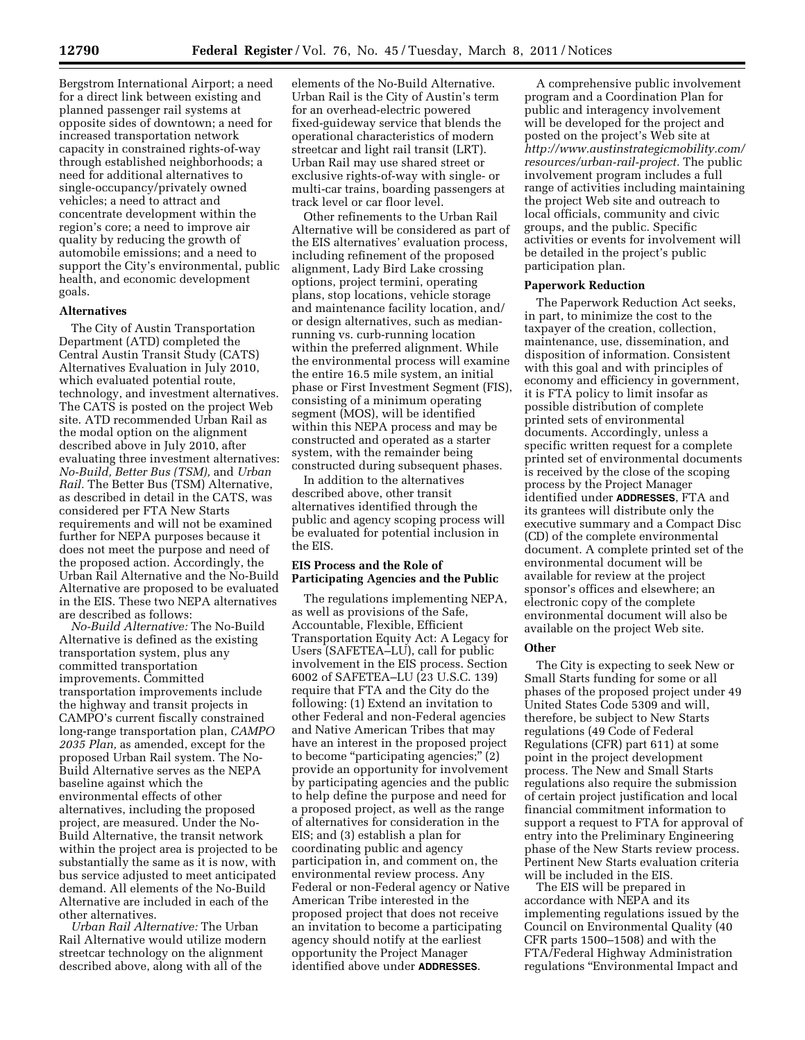Bergstrom International Airport; a need for a direct link between existing and planned passenger rail systems at opposite sides of downtown; a need for increased transportation network capacity in constrained rights-of-way through established neighborhoods; a need for additional alternatives to single-occupancy/privately owned vehicles; a need to attract and concentrate development within the region's core; a need to improve air quality by reducing the growth of automobile emissions; and a need to support the City's environmental, public health, and economic development goals.

### **Alternatives**

The City of Austin Transportation Department (ATD) completed the Central Austin Transit Study (CATS) Alternatives Evaluation in July 2010, which evaluated potential route, technology, and investment alternatives. The CATS is posted on the project Web site. ATD recommended Urban Rail as the modal option on the alignment described above in July 2010, after evaluating three investment alternatives: *No-Build, Better Bus (TSM),* and *Urban Rail.* The Better Bus (TSM) Alternative, as described in detail in the CATS, was considered per FTA New Starts requirements and will not be examined further for NEPA purposes because it does not meet the purpose and need of the proposed action. Accordingly, the Urban Rail Alternative and the No-Build Alternative are proposed to be evaluated in the EIS. These two NEPA alternatives are described as follows:

*No-Build Alternative:* The No-Build Alternative is defined as the existing transportation system, plus any committed transportation improvements. Committed transportation improvements include the highway and transit projects in CAMPO's current fiscally constrained long-range transportation plan, *CAMPO 2035 Plan,* as amended, except for the proposed Urban Rail system. The No-Build Alternative serves as the NEPA baseline against which the environmental effects of other alternatives, including the proposed project, are measured. Under the No-Build Alternative, the transit network within the project area is projected to be substantially the same as it is now, with bus service adjusted to meet anticipated demand. All elements of the No-Build Alternative are included in each of the other alternatives.

*Urban Rail Alternative:* The Urban Rail Alternative would utilize modern streetcar technology on the alignment described above, along with all of the

elements of the No-Build Alternative. Urban Rail is the City of Austin's term for an overhead-electric powered fixed-guideway service that blends the operational characteristics of modern streetcar and light rail transit (LRT). Urban Rail may use shared street or exclusive rights-of-way with single- or multi-car trains, boarding passengers at track level or car floor level.

Other refinements to the Urban Rail Alternative will be considered as part of the EIS alternatives' evaluation process, including refinement of the proposed alignment, Lady Bird Lake crossing options, project termini, operating plans, stop locations, vehicle storage and maintenance facility location, and/ or design alternatives, such as medianrunning vs. curb-running location within the preferred alignment. While the environmental process will examine the entire 16.5 mile system, an initial phase or First Investment Segment (FIS), consisting of a minimum operating segment (MOS), will be identified within this NEPA process and may be constructed and operated as a starter system, with the remainder being constructed during subsequent phases.

In addition to the alternatives described above, other transit alternatives identified through the public and agency scoping process will be evaluated for potential inclusion in the EIS.

# **EIS Process and the Role of Participating Agencies and the Public**

The regulations implementing NEPA, as well as provisions of the Safe, Accountable, Flexible, Efficient Transportation Equity Act: A Legacy for Users (SAFETEA–LU), call for public involvement in the EIS process. Section 6002 of SAFETEA–LU (23 U.S.C. 139) require that FTA and the City do the following: (1) Extend an invitation to other Federal and non-Federal agencies and Native American Tribes that may have an interest in the proposed project to become "participating agencies;" (2) provide an opportunity for involvement by participating agencies and the public to help define the purpose and need for a proposed project, as well as the range of alternatives for consideration in the EIS; and (3) establish a plan for coordinating public and agency participation in, and comment on, the environmental review process. Any Federal or non-Federal agency or Native American Tribe interested in the proposed project that does not receive an invitation to become a participating agency should notify at the earliest opportunity the Project Manager identified above under **ADDRESSES**.

A comprehensive public involvement program and a Coordination Plan for public and interagency involvement will be developed for the project and posted on the project's Web site at *[http://www.austinstrategicmobility.com/](http://www.austinstrategicmobility.com/resources/urban-rail-project)  [resources/urban-rail-project.](http://www.austinstrategicmobility.com/resources/urban-rail-project)* The public involvement program includes a full range of activities including maintaining the project Web site and outreach to local officials, community and civic groups, and the public. Specific activities or events for involvement will be detailed in the project's public participation plan.

### **Paperwork Reduction**

The Paperwork Reduction Act seeks, in part, to minimize the cost to the taxpayer of the creation, collection, maintenance, use, dissemination, and disposition of information. Consistent with this goal and with principles of economy and efficiency in government, it is FTA policy to limit insofar as possible distribution of complete printed sets of environmental documents. Accordingly, unless a specific written request for a complete printed set of environmental documents is received by the close of the scoping process by the Project Manager identified under **ADDRESSES**, FTA and its grantees will distribute only the executive summary and a Compact Disc (CD) of the complete environmental document. A complete printed set of the environmental document will be available for review at the project sponsor's offices and elsewhere; an electronic copy of the complete environmental document will also be available on the project Web site.

# **Other**

The City is expecting to seek New or Small Starts funding for some or all phases of the proposed project under 49 United States Code 5309 and will, therefore, be subject to New Starts regulations (49 Code of Federal Regulations (CFR) part 611) at some point in the project development process. The New and Small Starts regulations also require the submission of certain project justification and local financial commitment information to support a request to FTA for approval of entry into the Preliminary Engineering phase of the New Starts review process. Pertinent New Starts evaluation criteria will be included in the EIS.

The EIS will be prepared in accordance with NEPA and its implementing regulations issued by the Council on Environmental Quality (40 CFR parts 1500–1508) and with the FTA/Federal Highway Administration regulations ''Environmental Impact and